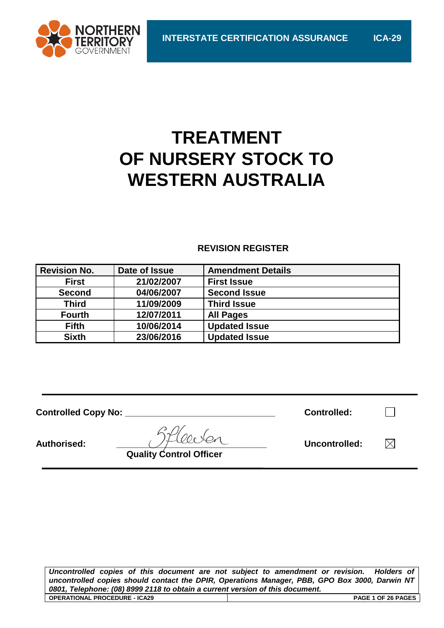

# **TREATMENT OF NURSERY STOCK TO WESTERN AUSTRALIA**

# **REVISION REGISTER**

| <b>Revision No.</b> | Date of Issue | <b>Amendment Details</b> |
|---------------------|---------------|--------------------------|
| <b>First</b>        | 21/02/2007    | <b>First Issue</b>       |
| <b>Second</b>       | 04/06/2007    | <b>Second Issue</b>      |
| <b>Third</b>        | 11/09/2009    | <b>Third Issue</b>       |
| <b>Fourth</b>       | 12/07/2011    | <b>All Pages</b>         |
| <b>Fifth</b>        | 10/06/2014    | <b>Updated Issue</b>     |
| <b>Sixth</b>        | 23/06/2016    | <b>Updated Issue</b>     |

| <b>Controlled Copy No:</b> |                                | <b>Controlled:</b> |  |
|----------------------------|--------------------------------|--------------------|--|
| <b>Authorised:</b>         | <b>Quality Control Officer</b> | Uncontrolled:      |  |

*Uncontrolled copies of this document are not subject to amendment or revision. Holders of uncontrolled copies should contact the DPIR, Operations Manager, PBB, GPO Box 3000, Darwin NT 0801, Telephone: (08) 8999 2118 to obtain a current version of this document.* **OPERATIONAL PROCEDURE - ICA29 PAGE 1 OF 26 PAGES**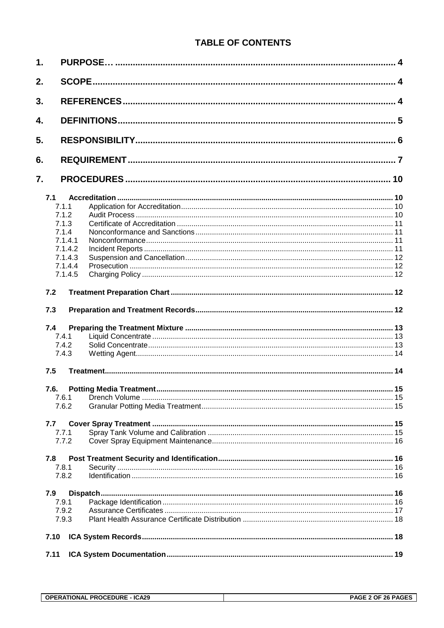# **TABLE OF CONTENTS**

| 1.   |       |                         |    |
|------|-------|-------------------------|----|
| 2.   |       |                         |    |
| 3.   |       |                         |    |
| 4.   |       |                         |    |
| 5.   |       |                         |    |
| 6.   |       |                         |    |
| 7.   |       |                         | 10 |
| 7.1  |       |                         |    |
|      | 7.1.1 |                         |    |
|      | 7.1.2 |                         |    |
|      | 7.1.3 |                         |    |
|      | 7.1.4 |                         |    |
|      |       | 7.1.4.1                 |    |
|      |       | 7.1.4.2                 |    |
|      |       |                         |    |
|      |       | 7.1.4.3                 |    |
|      |       | 7.1.4.4                 |    |
|      |       | 7.1.4.5                 |    |
| 7.2  |       |                         |    |
| 7.3  |       |                         |    |
| 7.4  |       |                         |    |
|      | 7.4.1 |                         |    |
|      | 7.4.2 |                         |    |
|      | 7.4.3 |                         |    |
| 7.5  |       |                         |    |
| 7.6. |       | Potting Media Treatment | 15 |
|      | 7.6.1 |                         |    |
|      | 7.6.2 |                         |    |
| 7.7  |       |                         |    |
|      | 7.7.1 |                         |    |
|      | 7.7.2 |                         |    |
| 7.8  |       |                         |    |
|      | 7.8.1 |                         |    |
|      | 7.8.2 |                         |    |
| 7.9  |       |                         |    |
|      | 7.9.1 |                         |    |
|      | 7.9.2 |                         |    |
|      | 7.9.3 |                         |    |
|      |       |                         |    |
| 7.10 |       |                         |    |
| 7.11 |       |                         |    |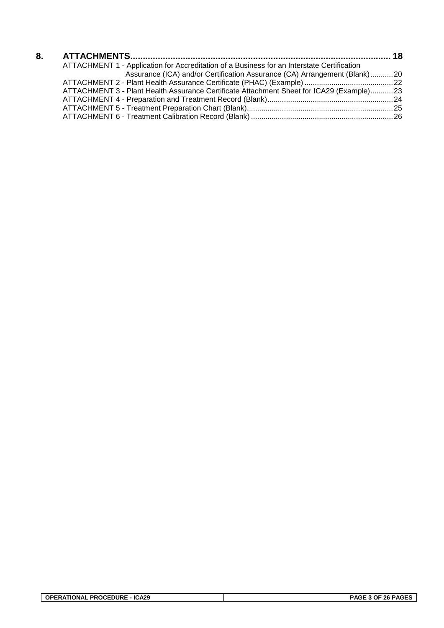| 8. |                                                                                            |  |
|----|--------------------------------------------------------------------------------------------|--|
|    | ATTACHMENT 1 - Application for Accreditation of a Business for an Interstate Certification |  |
|    | Assurance (ICA) and/or Certification Assurance (CA) Arrangement (Blank)20                  |  |
|    |                                                                                            |  |
|    | ATTACHMENT 3 - Plant Health Assurance Certificate Attachment Sheet for ICA29 (Example)23   |  |
|    |                                                                                            |  |
|    |                                                                                            |  |
|    |                                                                                            |  |
|    |                                                                                            |  |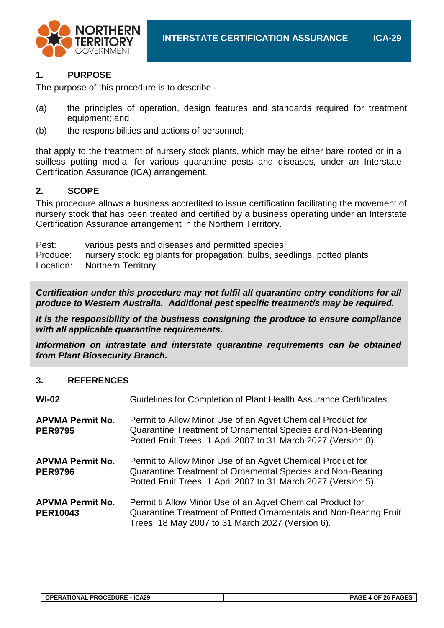

# **1. PURPOSE**

The purpose of this procedure is to describe -

- (a) the principles of operation, design features and standards required for treatment equipment; and
- (b) the responsibilities and actions of personnel;

that apply to the treatment of nursery stock plants, which may be either bare rooted or in a soilless potting media, for various quarantine pests and diseases, under an Interstate Certification Assurance (ICA) arrangement.

# **2. SCOPE**

This procedure allows a business accredited to issue certification facilitating the movement of nursery stock that has been treated and certified by a business operating under an Interstate Certification Assurance arrangement in the Northern Territory.

Pest: various pests and diseases and permitted species Produce: nursery stock: eg plants for propagation: bulbs, seedlings, potted plants Location: Northern Territory

*Certification under this procedure may not fulfil all quarantine entry conditions for all produce to Western Australia. Additional pest specific treatment/s may be required.*

*It is the responsibility of the business consigning the produce to ensure compliance with all applicable quarantine requirements.*

*Information on intrastate and interstate quarantine requirements can be obtained from Plant Biosecurity Branch.*

# **3. REFERENCES**

| $WI-02$                                    | Guidelines for Completion of Plant Health Assurance Certificates.                                                                                                                          |
|--------------------------------------------|--------------------------------------------------------------------------------------------------------------------------------------------------------------------------------------------|
| <b>APVMA Permit No.</b><br><b>PER9795</b>  | Permit to Allow Minor Use of an Agvet Chemical Product for<br>Quarantine Treatment of Ornamental Species and Non-Bearing<br>Potted Fruit Trees. 1 April 2007 to 31 March 2027 (Version 8). |
| <b>APVMA Permit No.</b><br><b>PER9796</b>  | Permit to Allow Minor Use of an Agvet Chemical Product for<br>Quarantine Treatment of Ornamental Species and Non-Bearing<br>Potted Fruit Trees. 1 April 2007 to 31 March 2027 (Version 5). |
| <b>APVMA Permit No.</b><br><b>PER10043</b> | Permit ti Allow Minor Use of an Agvet Chemical Product for<br>Quarantine Treatment of Potted Ornamentals and Non-Bearing Fruit<br>Trees. 18 May 2007 to 31 March 2027 (Version 6).         |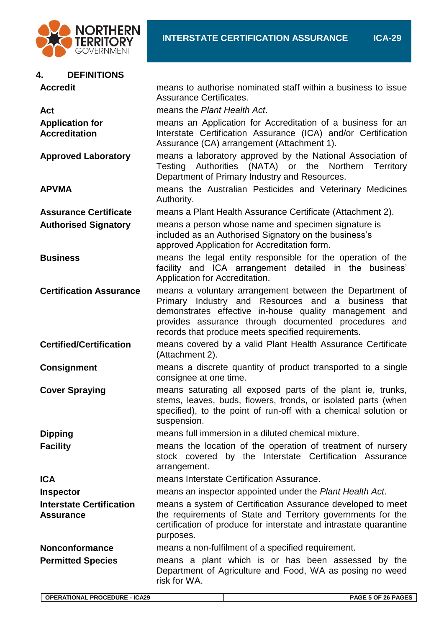

#### **4. DEFINITIONS**

| <b>Accredit</b>                                     | means to authorise nominated staff within a business to issue<br><b>Assurance Certificates.</b>                                                                                                                                                                                                      |
|-----------------------------------------------------|------------------------------------------------------------------------------------------------------------------------------------------------------------------------------------------------------------------------------------------------------------------------------------------------------|
| Act                                                 | means the Plant Health Act.                                                                                                                                                                                                                                                                          |
| <b>Application for</b><br><b>Accreditation</b>      | means an Application for Accreditation of a business for an<br>Interstate Certification Assurance (ICA) and/or Certification<br>Assurance (CA) arrangement (Attachment 1).                                                                                                                           |
| <b>Approved Laboratory</b>                          | means a laboratory approved by the National Association of<br>Authorities (NATA) or the<br>Northern<br>Testing<br>Territory<br>Department of Primary Industry and Resources.                                                                                                                         |
| <b>APVMA</b>                                        | means the Australian Pesticides and Veterinary Medicines<br>Authority.                                                                                                                                                                                                                               |
| <b>Assurance Certificate</b>                        | means a Plant Health Assurance Certificate (Attachment 2).                                                                                                                                                                                                                                           |
| <b>Authorised Signatory</b>                         | means a person whose name and specimen signature is<br>included as an Authorised Signatory on the business's<br>approved Application for Accreditation form.                                                                                                                                         |
| <b>Business</b>                                     | means the legal entity responsible for the operation of the<br>facility and ICA arrangement detailed in the business'<br>Application for Accreditation.                                                                                                                                              |
| <b>Certification Assurance</b>                      | means a voluntary arrangement between the Department of<br>business<br>Industry and Resources and<br>Primary<br>a<br>that<br>demonstrates effective in-house quality management and<br>provides assurance through documented procedures<br>and<br>records that produce meets specified requirements. |
| <b>Certified/Certification</b>                      | means covered by a valid Plant Health Assurance Certificate<br>(Attachment 2).                                                                                                                                                                                                                       |
| <b>Consignment</b>                                  | means a discrete quantity of product transported to a single<br>consignee at one time.                                                                                                                                                                                                               |
| <b>Cover Spraying</b>                               | means saturating all exposed parts of the plant ie, trunks,<br>stems, leaves, buds, flowers, fronds, or isolated parts (when<br>specified), to the point of run-off with a chemical solution or<br>suspension.                                                                                       |
| <b>Dipping</b>                                      | means full immersion in a diluted chemical mixture.                                                                                                                                                                                                                                                  |
| <b>Facility</b>                                     | means the location of the operation of treatment of nursery<br>stock covered by the Interstate Certification Assurance<br>arrangement.                                                                                                                                                               |
| <b>ICA</b>                                          | means Interstate Certification Assurance.                                                                                                                                                                                                                                                            |
| <b>Inspector</b>                                    | means an inspector appointed under the Plant Health Act.                                                                                                                                                                                                                                             |
| <b>Interstate Certification</b><br><b>Assurance</b> | means a system of Certification Assurance developed to meet<br>the requirements of State and Territory governments for the<br>certification of produce for interstate and intrastate quarantine<br>purposes.                                                                                         |
| <b>Nonconformance</b>                               | means a non-fulfilment of a specified requirement.                                                                                                                                                                                                                                                   |
| <b>Permitted Species</b>                            | means a plant which is or has been assessed by the<br>Department of Agriculture and Food, WA as posing no weed<br>risk for WA.                                                                                                                                                                       |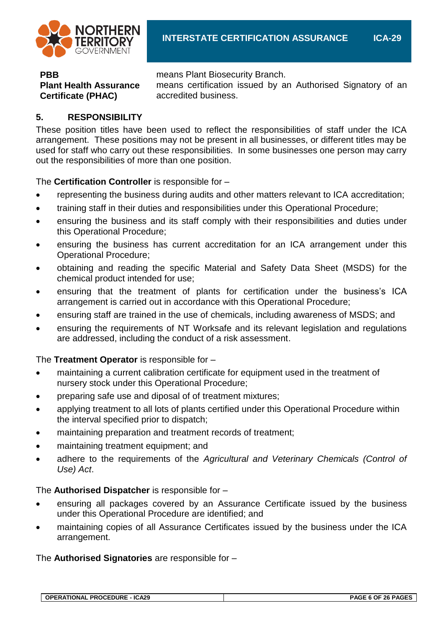

**PBB** means Plant Biosecurity Branch.

means certification issued by an Authorised Signatory of an accredited business.

# **5. RESPONSIBILITY**

**Plant Health Assurance** 

**Certificate (PHAC)**

These position titles have been used to reflect the responsibilities of staff under the ICA arrangement. These positions may not be present in all businesses, or different titles may be used for staff who carry out these responsibilities. In some businesses one person may carry out the responsibilities of more than one position.

The **Certification Controller** is responsible for –

- representing the business during audits and other matters relevant to ICA accreditation;
- training staff in their duties and responsibilities under this Operational Procedure;
- ensuring the business and its staff comply with their responsibilities and duties under this Operational Procedure;
- ensuring the business has current accreditation for an ICA arrangement under this Operational Procedure;
- obtaining and reading the specific Material and Safety Data Sheet (MSDS) for the chemical product intended for use;
- ensuring that the treatment of plants for certification under the business's ICA arrangement is carried out in accordance with this Operational Procedure;
- ensuring staff are trained in the use of chemicals, including awareness of MSDS; and
- ensuring the requirements of NT Worksafe and its relevant legislation and regulations are addressed, including the conduct of a risk assessment.

The **Treatment Operator** is responsible for –

- maintaining a current calibration certificate for equipment used in the treatment of nursery stock under this Operational Procedure;
- preparing safe use and diposal of of treatment mixtures;
- applying treatment to all lots of plants certified under this Operational Procedure within the interval specified prior to dispatch;
- maintaining preparation and treatment records of treatment;
- maintaining treatment equipment; and
- adhere to the requirements of the *Agricultural and Veterinary Chemicals (Control of Use) Act*.

The **Authorised Dispatcher** is responsible for –

- ensuring all packages covered by an Assurance Certificate issued by the business under this Operational Procedure are identified; and
- maintaining copies of all Assurance Certificates issued by the business under the ICA arrangement.

The **Authorised Signatories** are responsible for –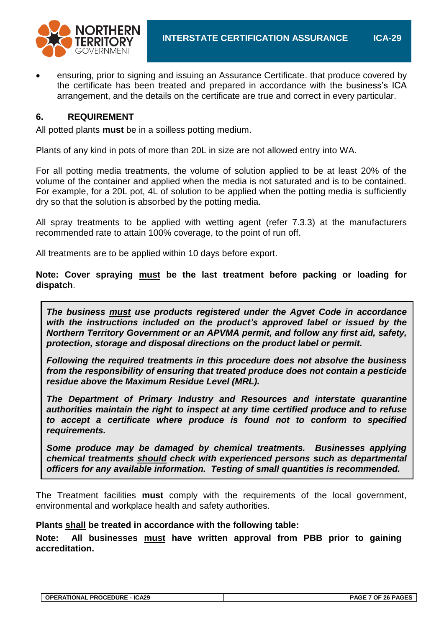ensuring, prior to signing and issuing an Assurance Certificate. that produce covered by the certificate has been treated and prepared in accordance with the business's ICA arrangement, and the details on the certificate are true and correct in every particular.

#### **6. REQUIREMENT**

All potted plants **must** be in a soilless potting medium.

Plants of any kind in pots of more than 20L in size are not allowed entry into WA.

For all potting media treatments, the volume of solution applied to be at least 20% of the volume of the container and applied when the media is not saturated and is to be contained. For example, for a 20L pot, 4L of solution to be applied when the potting media is sufficiently dry so that the solution is absorbed by the potting media.

All spray treatments to be applied with wetting agent (refer 7.3.3) at the manufacturers recommended rate to attain 100% coverage, to the point of run off.

All treatments are to be applied within 10 days before export.

**Note: Cover spraying must be the last treatment before packing or loading for dispatch**.

*The business must use products registered under the Agvet Code in accordance with the instructions included on the product's approved label or issued by the Northern Territory Government or an APVMA permit, and follow any first aid, safety, protection, storage and disposal directions on the product label or permit.* 

*Following the required treatments in this procedure does not absolve the business from the responsibility of ensuring that treated produce does not contain a pesticide residue above the Maximum Residue Level (MRL).* 

*The Department of Primary Industry and Resources and interstate quarantine authorities maintain the right to inspect at any time certified produce and to refuse to accept a certificate where produce is found not to conform to specified requirements.*

*Some produce may be damaged by chemical treatments. Businesses applying chemical treatments should check with experienced persons such as departmental officers for any available information. Testing of small quantities is recommended.*

The Treatment facilities **must** comply with the requirements of the local government, environmental and workplace health and safety authorities.

#### **Plants shall be treated in accordance with the following table:**

**Note: All businesses must have written approval from PBB prior to gaining accreditation.**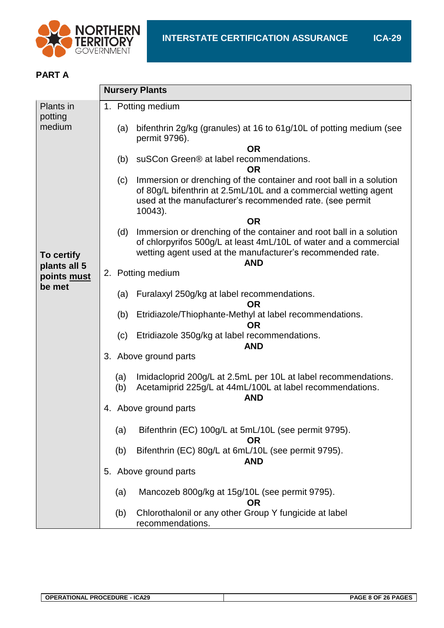

#### **PART A**

|                             | <b>Nursery Plants</b>                                                                                                                                                                                                       |
|-----------------------------|-----------------------------------------------------------------------------------------------------------------------------------------------------------------------------------------------------------------------------|
| Plants in                   | 1. Potting medium                                                                                                                                                                                                           |
| potting<br>medium           | bifenthrin 2g/kg (granules) at 16 to 61g/10L of potting medium (see<br>(a)<br>permit 9796).                                                                                                                                 |
|                             | <b>OR</b>                                                                                                                                                                                                                   |
|                             | suSCon Green® at label recommendations.<br>(b)<br>OR                                                                                                                                                                        |
|                             | Immersion or drenching of the container and root ball in a solution<br>(c)<br>of 80g/L bifenthrin at 2.5mL/10L and a commercial wetting agent<br>used at the manufacturer's recommended rate. (see permit<br>10043).        |
|                             | <b>OR</b>                                                                                                                                                                                                                   |
| To certify                  | Immersion or drenching of the container and root ball in a solution<br>(d)<br>of chlorpyrifos 500g/L at least 4mL/10L of water and a commercial<br>wetting agent used at the manufacturer's recommended rate.<br><b>AND</b> |
| plants all 5<br>points must | 2. Potting medium                                                                                                                                                                                                           |
| be met                      |                                                                                                                                                                                                                             |
|                             | (a) Furalaxyl 250g/kg at label recommendations.<br><b>OR</b>                                                                                                                                                                |
|                             | Etridiazole/Thiophante-Methyl at label recommendations.<br>(b)<br><b>OR</b>                                                                                                                                                 |
|                             | (c)<br>Etridiazole 350g/kg at label recommendations.<br><b>AND</b>                                                                                                                                                          |
|                             | 3. Above ground parts                                                                                                                                                                                                       |
|                             | Imidacloprid 200g/L at 2.5mL per 10L at label recommendations.<br>(a)                                                                                                                                                       |
|                             | Acetamiprid 225g/L at 44mL/100L at label recommendations.<br>(b)<br><b>AND</b>                                                                                                                                              |
|                             | 4. Above ground parts                                                                                                                                                                                                       |
|                             | Bifenthrin (EC) 100g/L at 5mL/10L (see permit 9795).<br>(a)<br><b>OR</b>                                                                                                                                                    |
|                             | Bifenthrin (EC) 80g/L at 6mL/10L (see permit 9795).<br>(b)<br><b>AND</b>                                                                                                                                                    |
|                             | 5. Above ground parts                                                                                                                                                                                                       |
|                             | Mancozeb 800g/kg at 15g/10L (see permit 9795).<br>(a)<br><b>OR</b>                                                                                                                                                          |
|                             | Chlorothalonil or any other Group Y fungicide at label<br>(b)<br>recommendations.                                                                                                                                           |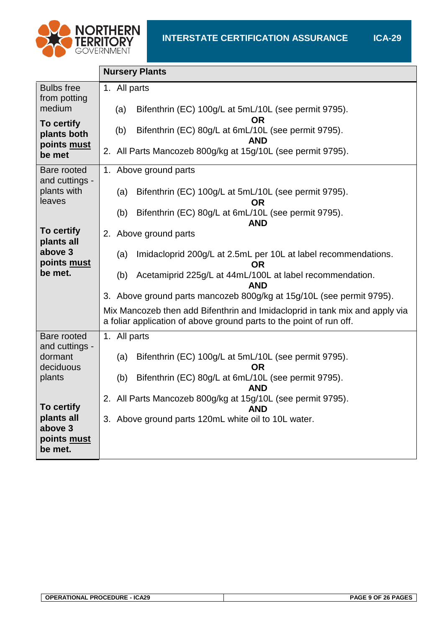

|                                             | <b>Nursery Plants</b>                                                                                                                              |
|---------------------------------------------|----------------------------------------------------------------------------------------------------------------------------------------------------|
| <b>Bulbs</b> free<br>from potting<br>medium | 1. All parts<br>Bifenthrin (EC) 100g/L at 5mL/10L (see permit 9795).<br>(a)                                                                        |
| To certify                                  | <b>OR</b>                                                                                                                                          |
| plants both<br>points must                  | Bifenthrin (EC) 80g/L at 6mL/10L (see permit 9795).<br>(b)<br><b>AND</b>                                                                           |
| be met                                      | 2. All Parts Mancozeb 800g/kg at 15g/10L (see permit 9795).                                                                                        |
| Bare rooted<br>and cuttings -               | 1. Above ground parts                                                                                                                              |
| plants with<br>leaves                       | Bifenthrin (EC) 100g/L at 5mL/10L (see permit 9795).<br>(a)<br><b>OR</b>                                                                           |
|                                             | Bifenthrin (EC) 80g/L at 6mL/10L (see permit 9795).<br>(b)<br><b>AND</b>                                                                           |
| To certify<br>plants all                    | 2. Above ground parts                                                                                                                              |
| above 3<br>points must                      | Imidacloprid 200g/L at 2.5mL per 10L at label recommendations.<br>(a)<br><b>OR</b>                                                                 |
| be met.                                     | Acetamiprid 225g/L at 44mL/100L at label recommendation.<br>(b)<br><b>AND</b>                                                                      |
|                                             | 3. Above ground parts mancozeb 800g/kg at 15g/10L (see permit 9795).                                                                               |
|                                             | Mix Mancozeb then add Bifenthrin and Imidacloprid in tank mix and apply via<br>a foliar application of above ground parts to the point of run off. |
| Bare rooted<br>and cuttings -               | 1. All parts                                                                                                                                       |
| dormant<br>deciduous                        | Bifenthrin (EC) 100g/L at 5mL/10L (see permit 9795).<br>(a)<br><b>OR</b>                                                                           |
| plants                                      | Bifenthrin (EC) 80g/L at 6mL/10L (see permit 9795).<br>(b)<br><b>AND</b>                                                                           |
| To certify                                  | 2. All Parts Mancozeb 800g/kg at 15g/10L (see permit 9795).<br><b>AND</b>                                                                          |
| plants all<br>above 3                       | 3. Above ground parts 120mL white oil to 10L water.                                                                                                |
| points must<br>be met.                      |                                                                                                                                                    |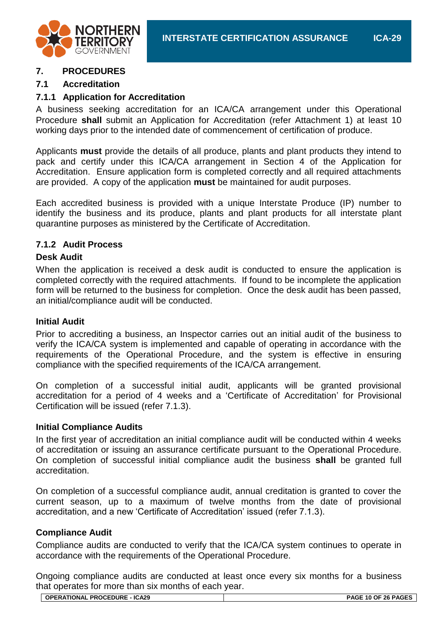

# **7. PROCEDURES**

#### **7.1 Accreditation**

#### **7.1.1 Application for Accreditation**

A business seeking accreditation for an ICA/CA arrangement under this Operational Procedure **shall** submit an Application for Accreditation (refer Attachment 1) at least 10 working days prior to the intended date of commencement of certification of produce.

Applicants **must** provide the details of all produce, plants and plant products they intend to pack and certify under this ICA/CA arrangement in Section 4 of the Application for Accreditation. Ensure application form is completed correctly and all required attachments are provided. A copy of the application **must** be maintained for audit purposes.

Each accredited business is provided with a unique Interstate Produce (IP) number to identify the business and its produce, plants and plant products for all interstate plant quarantine purposes as ministered by the Certificate of Accreditation.

#### **7.1.2 Audit Process**

#### **Desk Audit**

When the application is received a desk audit is conducted to ensure the application is completed correctly with the required attachments. If found to be incomplete the application form will be returned to the business for completion. Once the desk audit has been passed, an initial/compliance audit will be conducted.

#### **Initial Audit**

Prior to accrediting a business, an Inspector carries out an initial audit of the business to verify the ICA/CA system is implemented and capable of operating in accordance with the requirements of the Operational Procedure, and the system is effective in ensuring compliance with the specified requirements of the ICA/CA arrangement.

On completion of a successful initial audit, applicants will be granted provisional accreditation for a period of 4 weeks and a 'Certificate of Accreditation' for Provisional Certification will be issued (refer 7.1.3).

#### **Initial Compliance Audits**

In the first year of accreditation an initial compliance audit will be conducted within 4 weeks of accreditation or issuing an assurance certificate pursuant to the Operational Procedure. On completion of successful initial compliance audit the business **shall** be granted full accreditation.

On completion of a successful compliance audit, annual creditation is granted to cover the current season, up to a maximum of twelve months from the date of provisional accreditation, and a new 'Certificate of Accreditation' issued (refer 7.1.3).

#### **Compliance Audit**

Compliance audits are conducted to verify that the ICA/CA system continues to operate in accordance with the requirements of the Operational Procedure.

Ongoing compliance audits are conducted at least once every six months for a business that operates for more than six months of each year.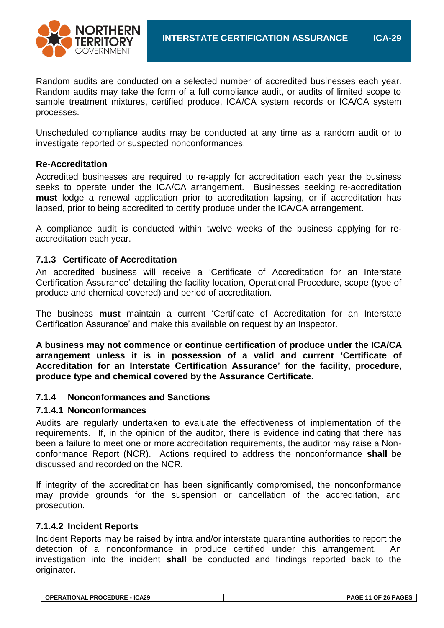

Random audits are conducted on a selected number of accredited businesses each year. Random audits may take the form of a full compliance audit, or audits of limited scope to sample treatment mixtures, certified produce, ICA/CA system records or ICA/CA system processes.

Unscheduled compliance audits may be conducted at any time as a random audit or to investigate reported or suspected nonconformances.

#### **Re-Accreditation**

Accredited businesses are required to re-apply for accreditation each year the business seeks to operate under the ICA/CA arrangement. Businesses seeking re-accreditation **must** lodge a renewal application prior to accreditation lapsing, or if accreditation has lapsed, prior to being accredited to certify produce under the ICA/CA arrangement.

A compliance audit is conducted within twelve weeks of the business applying for reaccreditation each year.

#### **7.1.3 Certificate of Accreditation**

An accredited business will receive a 'Certificate of Accreditation for an Interstate Certification Assurance' detailing the facility location, Operational Procedure, scope (type of produce and chemical covered) and period of accreditation.

The business **must** maintain a current 'Certificate of Accreditation for an Interstate Certification Assurance' and make this available on request by an Inspector.

**A business may not commence or continue certification of produce under the ICA/CA arrangement unless it is in possession of a valid and current 'Certificate of Accreditation for an Interstate Certification Assurance' for the facility, procedure, produce type and chemical covered by the Assurance Certificate.**

#### **7.1.4 Nonconformances and Sanctions**

#### **7.1.4.1 Nonconformances**

Audits are regularly undertaken to evaluate the effectiveness of implementation of the requirements. If, in the opinion of the auditor, there is evidence indicating that there has been a failure to meet one or more accreditation requirements, the auditor may raise a Nonconformance Report (NCR). Actions required to address the nonconformance **shall** be discussed and recorded on the NCR.

If integrity of the accreditation has been significantly compromised, the nonconformance may provide grounds for the suspension or cancellation of the accreditation, and prosecution.

#### **7.1.4.2 Incident Reports**

Incident Reports may be raised by intra and/or interstate quarantine authorities to report the detection of a nonconformance in produce certified under this arrangement. An investigation into the incident **shall** be conducted and findings reported back to the originator.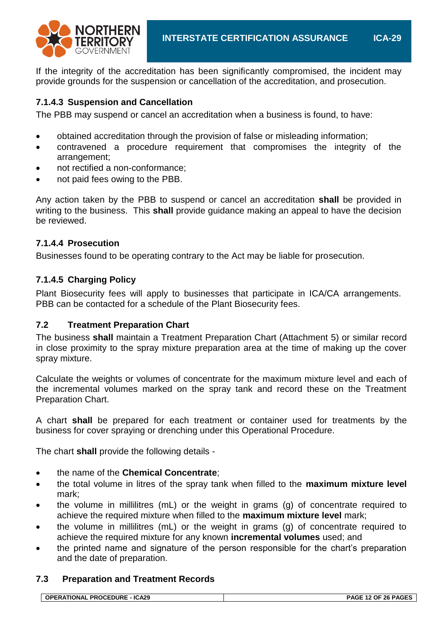If the integrity of the accreditation has been significantly compromised, the incident may provide grounds for the suspension or cancellation of the accreditation, and prosecution.

#### **7.1.4.3 Suspension and Cancellation**

The PBB may suspend or cancel an accreditation when a business is found, to have:

- obtained accreditation through the provision of false or misleading information;
- contravened a procedure requirement that compromises the integrity of the arrangement;
- not rectified a non-conformance;
- not paid fees owing to the PBB.

Any action taken by the PBB to suspend or cancel an accreditation **shall** be provided in writing to the business. This **shall** provide guidance making an appeal to have the decision be reviewed.

#### **7.1.4.4 Prosecution**

Businesses found to be operating contrary to the Act may be liable for prosecution.

#### **7.1.4.5 Charging Policy**

Plant Biosecurity fees will apply to businesses that participate in ICA/CA arrangements. PBB can be contacted for a schedule of the Plant Biosecurity fees.

#### **7.2 Treatment Preparation Chart**

The business **shall** maintain a Treatment Preparation Chart (Attachment 5) or similar record in close proximity to the spray mixture preparation area at the time of making up the cover spray mixture.

Calculate the weights or volumes of concentrate for the maximum mixture level and each of the incremental volumes marked on the spray tank and record these on the Treatment Preparation Chart.

A chart **shall** be prepared for each treatment or container used for treatments by the business for cover spraying or drenching under this Operational Procedure.

The chart **shall** provide the following details -

- the name of the **Chemical Concentrate**;
- the total volume in litres of the spray tank when filled to the **maximum mixture level**  mark;
- the volume in millilitres (mL) or the weight in grams (g) of concentrate required to achieve the required mixture when filled to the **maximum mixture level** mark;
- the volume in millilitres (mL) or the weight in grams (g) of concentrate required to achieve the required mixture for any known **incremental volumes** used; and
- the printed name and signature of the person responsible for the chart's preparation and the date of preparation.

#### **7.3 Preparation and Treatment Records**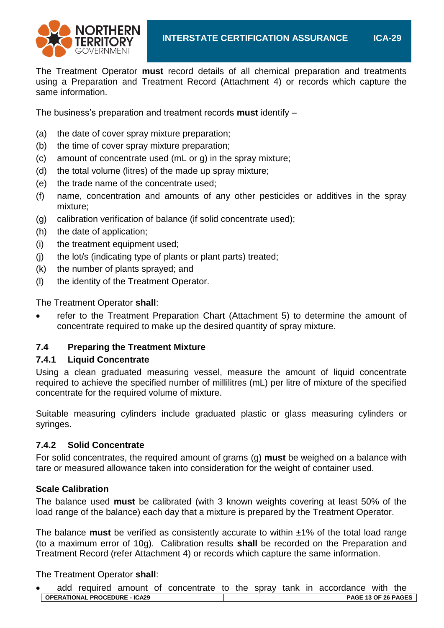

The Treatment Operator **must** record details of all chemical preparation and treatments using a Preparation and Treatment Record (Attachment 4) or records which capture the same information.

The business's preparation and treatment records **must** identify –

- (a) the date of cover spray mixture preparation;
- (b) the time of cover spray mixture preparation;
- (c) amount of concentrate used (mL or g) in the spray mixture;
- (d) the total volume (litres) of the made up spray mixture;
- (e) the trade name of the concentrate used;
- (f) name, concentration and amounts of any other pesticides or additives in the spray mixture;
- (g) calibration verification of balance (if solid concentrate used);
- (h) the date of application;
- (i) the treatment equipment used;
- (j) the lot/s (indicating type of plants or plant parts) treated;
- (k) the number of plants sprayed; and
- (l) the identity of the Treatment Operator.

The Treatment Operator **shall**:

 refer to the Treatment Preparation Chart (Attachment 5) to determine the amount of concentrate required to make up the desired quantity of spray mixture.

# **7.4 Preparing the Treatment Mixture**

#### **7.4.1 Liquid Concentrate**

Using a clean graduated measuring vessel, measure the amount of liquid concentrate required to achieve the specified number of millilitres (mL) per litre of mixture of the specified concentrate for the required volume of mixture.

Suitable measuring cylinders include graduated plastic or glass measuring cylinders or syringes.

#### **7.4.2 Solid Concentrate**

For solid concentrates, the required amount of grams (g) **must** be weighed on a balance with tare or measured allowance taken into consideration for the weight of container used.

#### **Scale Calibration**

The balance used **must** be calibrated (with 3 known weights covering at least 50% of the load range of the balance) each day that a mixture is prepared by the Treatment Operator.

The balance **must** be verified as consistently accurate to within ±1% of the total load range (to a maximum error of 10g). Calibration results **shall** be recorded on the Preparation and Treatment Record (refer Attachment 4) or records which capture the same information.

The Treatment Operator **shall**:

**OPERATIONAL PROCEDURE - ICA29 PAGE 13 OF 26 PAGES** add required amount of concentrate to the spray tank in accordance with the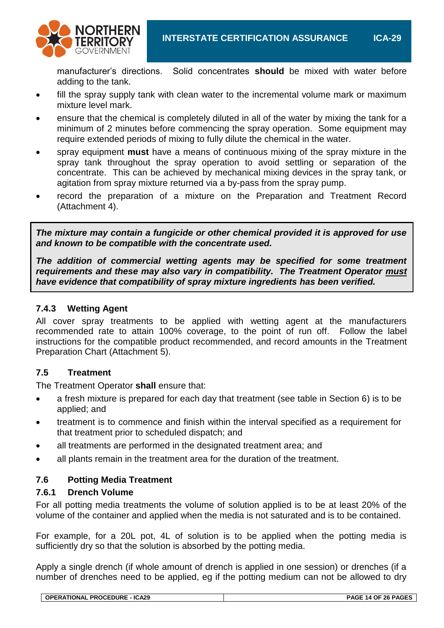

manufacturer's directions. Solid concentrates **should** be mixed with water before adding to the tank.

- fill the spray supply tank with clean water to the incremental volume mark or maximum mixture level mark.
- ensure that the chemical is completely diluted in all of the water by mixing the tank for a minimum of 2 minutes before commencing the spray operation. Some equipment may require extended periods of mixing to fully dilute the chemical in the water.
- spray equipment **must** have a means of continuous mixing of the spray mixture in the spray tank throughout the spray operation to avoid settling or separation of the concentrate. This can be achieved by mechanical mixing devices in the spray tank, or agitation from spray mixture returned via a by-pass from the spray pump.
- record the preparation of a mixture on the Preparation and Treatment Record (Attachment 4).

*The mixture may contain a fungicide or other chemical provided it is approved for use and known to be compatible with the concentrate used.*

*The addition of commercial wetting agents may be specified for some treatment requirements and these may also vary in compatibility. The Treatment Operator must have evidence that compatibility of spray mixture ingredients has been verified.*

# **7.4.3 Wetting Agent**

All cover spray treatments to be applied with wetting agent at the manufacturers recommended rate to attain 100% coverage, to the point of run off. Follow the label instructions for the compatible product recommended, and record amounts in the Treatment Preparation Chart (Attachment 5).

#### **7.5 Treatment**

The Treatment Operator **shall** ensure that:

- a fresh mixture is prepared for each day that treatment (see table in Section 6) is to be applied; and
- treatment is to commence and finish within the interval specified as a requirement for that treatment prior to scheduled dispatch; and
- all treatments are performed in the designated treatment area; and
- all plants remain in the treatment area for the duration of the treatment.

#### **7.6 Potting Media Treatment**

#### **7.6.1 Drench Volume**

For all potting media treatments the volume of solution applied is to be at least 20% of the volume of the container and applied when the media is not saturated and is to be contained.

For example, for a 20L pot, 4L of solution is to be applied when the potting media is sufficiently dry so that the solution is absorbed by the potting media.

Apply a single drench (if whole amount of drench is applied in one session) or drenches (if a number of drenches need to be applied, eg if the potting medium can not be allowed to dry

| OPERATIONAL PROCEDURE - ICA29 |
|-------------------------------|
|-------------------------------|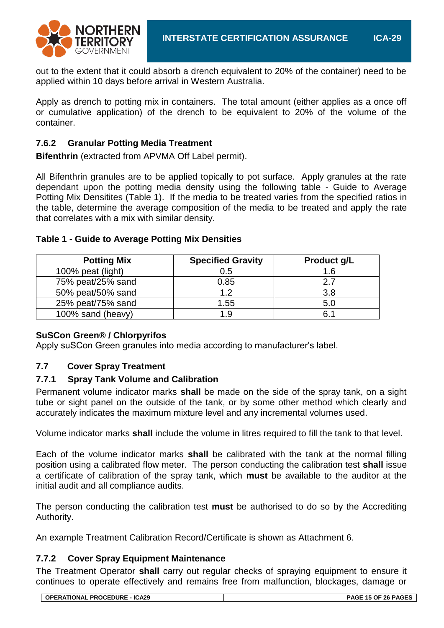

out to the extent that it could absorb a drench equivalent to 20% of the container) need to be applied within 10 days before arrival in Western Australia.

Apply as drench to potting mix in containers. The total amount (either applies as a once off or cumulative application) of the drench to be equivalent to 20% of the volume of the container.

# **7.6.2 Granular Potting Media Treatment**

**Bifenthrin** (extracted from APVMA Off Label permit).

All Bifenthrin granules are to be applied topically to pot surface. Apply granules at the rate dependant upon the potting media density using the following table - Guide to Average Potting Mix Densitites (Table 1). If the media to be treated varies from the specified ratios in the table, determine the average composition of the media to be treated and apply the rate that correlates with a mix with similar density.

| <b>Potting Mix</b> | <b>Specified Gravity</b> | Product g/L |
|--------------------|--------------------------|-------------|
| 100% peat (light)  | 0.5                      | 1.6         |
| 75% peat/25% sand  | 0.85                     | 27          |
| 50% peat/50% sand  | 12                       | 3.8         |
| 25% peat/75% sand  | 1.55                     | 5.C         |
| 100% sand (heavy)  | 1 Q                      |             |

#### **Table 1 - Guide to Average Potting Mix Densities**

#### **SuSCon Green® / Chlorpyrifos**

Apply suSCon Green granules into media according to manufacturer's label.

#### **7.7 Cover Spray Treatment**

#### **7.7.1 Spray Tank Volume and Calibration**

Permanent volume indicator marks **shall** be made on the side of the spray tank, on a sight tube or sight panel on the outside of the tank, or by some other method which clearly and accurately indicates the maximum mixture level and any incremental volumes used.

Volume indicator marks **shall** include the volume in litres required to fill the tank to that level.

Each of the volume indicator marks **shall** be calibrated with the tank at the normal filling position using a calibrated flow meter. The person conducting the calibration test **shall** issue a certificate of calibration of the spray tank, which **must** be available to the auditor at the initial audit and all compliance audits.

The person conducting the calibration test **must** be authorised to do so by the Accrediting Authority.

An example Treatment Calibration Record/Certificate is shown as Attachment 6.

#### **7.7.2 Cover Spray Equipment Maintenance**

The Treatment Operator **shall** carry out regular checks of spraying equipment to ensure it continues to operate effectively and remains free from malfunction, blockages, damage or

|  | <b>OPERATIONAL PROCEDURE - ICA29</b> | PAGE 15 OF 26 PAGES |
|--|--------------------------------------|---------------------|
|--|--------------------------------------|---------------------|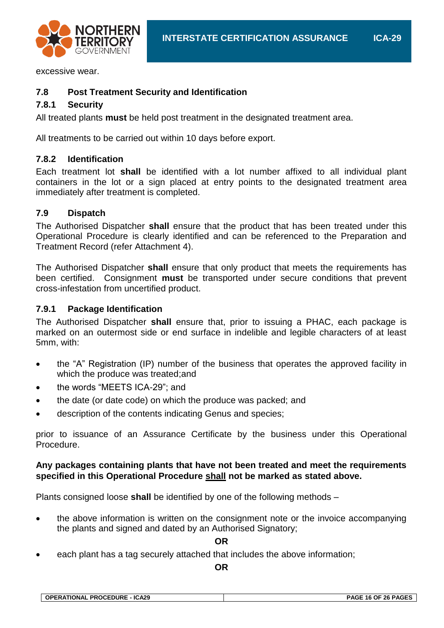

excessive wear.

#### **7.8 Post Treatment Security and Identification**

### **7.8.1 Security**

All treated plants **must** be held post treatment in the designated treatment area.

All treatments to be carried out within 10 days before export.

#### **7.8.2 Identification**

Each treatment lot **shall** be identified with a lot number affixed to all individual plant containers in the lot or a sign placed at entry points to the designated treatment area immediately after treatment is completed.

#### **7.9 Dispatch**

The Authorised Dispatcher **shall** ensure that the product that has been treated under this Operational Procedure is clearly identified and can be referenced to the Preparation and Treatment Record (refer Attachment 4).

The Authorised Dispatcher **shall** ensure that only product that meets the requirements has been certified. Consignment **must** be transported under secure conditions that prevent cross-infestation from uncertified product.

#### **7.9.1 Package Identification**

The Authorised Dispatcher **shall** ensure that, prior to issuing a PHAC, each package is marked on an outermost side or end surface in indelible and legible characters of at least 5mm, with:

- the "A" Registration (IP) number of the business that operates the approved facility in which the produce was treated;and
- the words "MEETS ICA-29"; and
- the date (or date code) on which the produce was packed; and
- description of the contents indicating Genus and species;

prior to issuance of an Assurance Certificate by the business under this Operational Procedure.

#### **Any packages containing plants that have not been treated and meet the requirements specified in this Operational Procedure shall not be marked as stated above.**

Plants consigned loose **shall** be identified by one of the following methods –

• the above information is written on the consignment note or the invoice accompanying the plants and signed and dated by an Authorised Signatory;

**OR**

each plant has a tag securely attached that includes the above information;

**OR**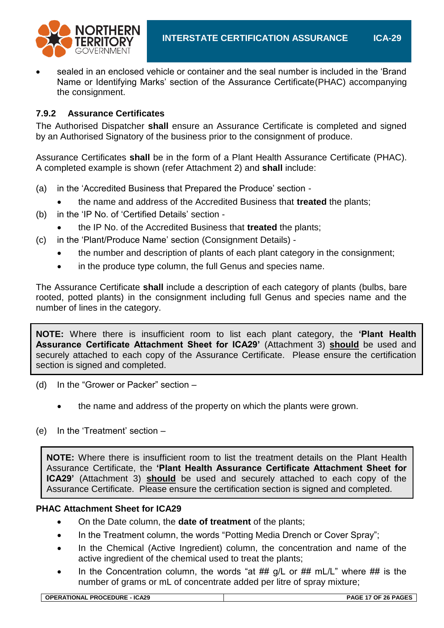

 sealed in an enclosed vehicle or container and the seal number is included in the 'Brand Name or Identifying Marks' section of the Assurance Certificate(PHAC) accompanying the consignment.

### **7.9.2 Assurance Certificates**

The Authorised Dispatcher **shall** ensure an Assurance Certificate is completed and signed by an Authorised Signatory of the business prior to the consignment of produce.

Assurance Certificates **shall** be in the form of a Plant Health Assurance Certificate (PHAC). A completed example is shown (refer Attachment 2) and **shall** include:

- (a) in the 'Accredited Business that Prepared the Produce' section
	- the name and address of the Accredited Business that **treated** the plants;
- (b) in the 'IP No. of 'Certified Details' section
	- the IP No. of the Accredited Business that **treated** the plants;
- (c) in the 'Plant/Produce Name' section (Consignment Details)
	- the number and description of plants of each plant category in the consignment;
	- in the produce type column, the full Genus and species name.

The Assurance Certificate **shall** include a description of each category of plants (bulbs, bare rooted, potted plants) in the consignment including full Genus and species name and the number of lines in the category.

**NOTE:** Where there is insufficient room to list each plant category, the **'Plant Health Assurance Certificate Attachment Sheet for ICA29'** (Attachment 3) **should** be used and securely attached to each copy of the Assurance Certificate. Please ensure the certification section is signed and completed.

- (d) In the "Grower or Packer" section
	- the name and address of the property on which the plants were grown.
- (e) In the 'Treatment' section –

**NOTE:** Where there is insufficient room to list the treatment details on the Plant Health Assurance Certificate, the **'Plant Health Assurance Certificate Attachment Sheet for ICA29'** (Attachment 3) **should** be used and securely attached to each copy of the Assurance Certificate. Please ensure the certification section is signed and completed.

#### **PHAC Attachment Sheet for ICA29**

- On the Date column, the **date of treatment** of the plants;
- In the Treatment column, the words "Potting Media Drench or Cover Spray";
- In the Chemical (Active Ingredient) column, the concentration and name of the active ingredient of the chemical used to treat the plants;
- In the Concentration column, the words "at  $##$  g/L or  $##$  mL/L" where  $##$  is the number of grams or mL of concentrate added per litre of spray mixture;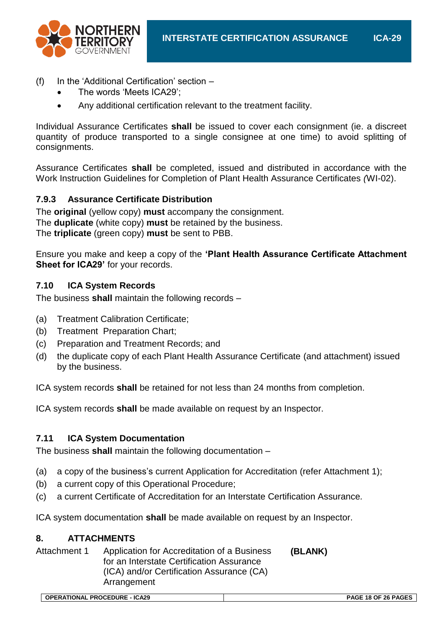

- (f) In the 'Additional Certification' section
	- The words 'Meets ICA29';
	- Any additional certification relevant to the treatment facility.

Individual Assurance Certificates **shall** be issued to cover each consignment (ie. a discreet quantity of produce transported to a single consignee at one time) to avoid splitting of consignments.

Assurance Certificates **shall** be completed, issued and distributed in accordance with the Work Instruction Guidelines for Completion of Plant Health Assurance Certificates *(*WI-02).

#### **7.9.3 Assurance Certificate Distribution**

The **original** (yellow copy) **must** accompany the consignment. The **duplicate** (white copy) **must** be retained by the business. The **triplicate** (green copy) **must** be sent to PBB.

Ensure you make and keep a copy of the **'Plant Health Assurance Certificate Attachment**  Sheet for ICA29' for your records.

#### **7.10 ICA System Records**

The business **shall** maintain the following records –

- (a) Treatment Calibration Certificate;
- (b) Treatment Preparation Chart;
- (c) Preparation and Treatment Records; and
- (d) the duplicate copy of each Plant Health Assurance Certificate (and attachment) issued by the business.

ICA system records **shall** be retained for not less than 24 months from completion.

ICA system records **shall** be made available on request by an Inspector.

#### **7.11 ICA System Documentation**

The business **shall** maintain the following documentation –

- (a) a copy of the business's current Application for Accreditation (refer Attachment 1);
- (b) a current copy of this Operational Procedure;
- (c) a current Certificate of Accreditation for an Interstate Certification Assurance*.*

ICA system documentation **shall** be made available on request by an Inspector.

#### **8. ATTACHMENTS**

Attachment 1 Application for Accreditation of a Business for an Interstate Certification Assurance (ICA) and/or Certification Assurance (CA) Arrangement **(BLANK)**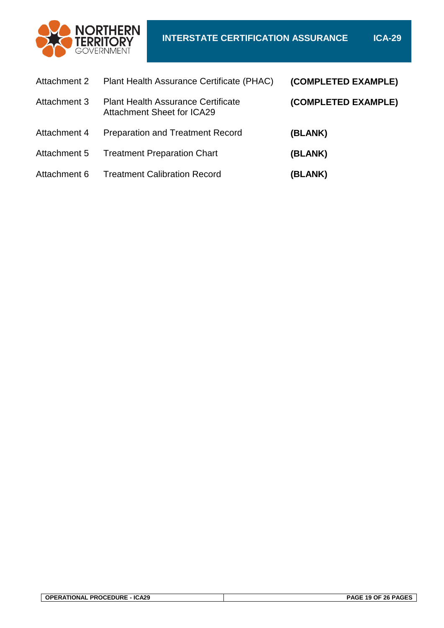

| Attachment 2 | Plant Health Assurance Certificate (PHAC)                                      | (COMPLETED EXAMPLE) |
|--------------|--------------------------------------------------------------------------------|---------------------|
| Attachment 3 | <b>Plant Health Assurance Certificate</b><br><b>Attachment Sheet for ICA29</b> | (COMPLETED EXAMPLE) |
| Attachment 4 | <b>Preparation and Treatment Record</b>                                        | (BLANK)             |
| Attachment 5 | <b>Treatment Preparation Chart</b>                                             | (BLANK)             |
| Attachment 6 | <b>Treatment Calibration Record</b>                                            | (BLANK)             |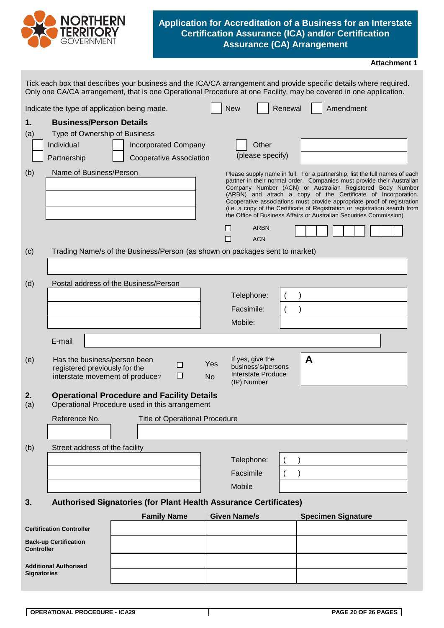

#### **Application for Accreditation of a Business for an Interstate Certification Assurance (ICA) and/or Certification Assurance (CA) Arrangement**

<span id="page-19-0"></span>

|                                                    | Tick each box that describes your business and the ICA/CA arrangement and provide specific details where required.<br>Only one CA/CA arrangement, that is one Operational Procedure at one Facility, may be covered in one application. |  |                                                        |                                 |                     |                                                                             |         |   |                           |                                                                                                                                                                                                                                                                                                                                                                                                                                                                                                                     |  |
|----------------------------------------------------|-----------------------------------------------------------------------------------------------------------------------------------------------------------------------------------------------------------------------------------------|--|--------------------------------------------------------|---------------------------------|---------------------|-----------------------------------------------------------------------------|---------|---|---------------------------|---------------------------------------------------------------------------------------------------------------------------------------------------------------------------------------------------------------------------------------------------------------------------------------------------------------------------------------------------------------------------------------------------------------------------------------------------------------------------------------------------------------------|--|
|                                                    | Indicate the type of application being made.                                                                                                                                                                                            |  |                                                        |                                 | <b>New</b>          |                                                                             | Renewal |   | Amendment                 |                                                                                                                                                                                                                                                                                                                                                                                                                                                                                                                     |  |
| 1.<br>(a)                                          | <b>Business/Person Details</b><br>Type of Ownership of Business<br>Individual<br>Partnership                                                                                                                                            |  | <b>Incorporated Company</b><br>Cooperative Association |                                 |                     | Other<br>(please specify)                                                   |         |   |                           |                                                                                                                                                                                                                                                                                                                                                                                                                                                                                                                     |  |
| (b)                                                | Name of Business/Person                                                                                                                                                                                                                 |  |                                                        |                                 |                     |                                                                             |         |   |                           | Please supply name in full. For a partnership, list the full names of each<br>partner in their normal order. Companies must provide their Australian<br>Company Number (ACN) or Australian Registered Body Number<br>(ARBN) and attach a copy of the Certificate of Incorporation.<br>Cooperative associations must provide appropriate proof of registration<br>(i.e. a copy of the Certificate of Registration or registration search from<br>the Office of Business Affairs or Australian Securities Commission) |  |
|                                                    |                                                                                                                                                                                                                                         |  |                                                        |                                 |                     | <b>ARBN</b>                                                                 |         |   |                           |                                                                                                                                                                                                                                                                                                                                                                                                                                                                                                                     |  |
|                                                    | Trading Name/s of the Business/Person (as shown on packages sent to market)                                                                                                                                                             |  |                                                        |                                 | L                   | <b>ACN</b>                                                                  |         |   |                           |                                                                                                                                                                                                                                                                                                                                                                                                                                                                                                                     |  |
| (c)                                                |                                                                                                                                                                                                                                         |  |                                                        |                                 |                     |                                                                             |         |   |                           |                                                                                                                                                                                                                                                                                                                                                                                                                                                                                                                     |  |
| (d)                                                | Postal address of the Business/Person                                                                                                                                                                                                   |  |                                                        |                                 |                     |                                                                             |         |   |                           |                                                                                                                                                                                                                                                                                                                                                                                                                                                                                                                     |  |
|                                                    |                                                                                                                                                                                                                                         |  |                                                        |                                 |                     | Telephone:                                                                  |         |   |                           |                                                                                                                                                                                                                                                                                                                                                                                                                                                                                                                     |  |
|                                                    |                                                                                                                                                                                                                                         |  |                                                        |                                 |                     | Facsimile:                                                                  |         |   |                           |                                                                                                                                                                                                                                                                                                                                                                                                                                                                                                                     |  |
|                                                    |                                                                                                                                                                                                                                         |  |                                                        |                                 | Mobile:             |                                                                             |         |   |                           |                                                                                                                                                                                                                                                                                                                                                                                                                                                                                                                     |  |
|                                                    | E-mail                                                                                                                                                                                                                                  |  |                                                        |                                 |                     |                                                                             |         |   |                           |                                                                                                                                                                                                                                                                                                                                                                                                                                                                                                                     |  |
| (e)                                                | Has the business/person been<br>registered previously for the<br>interstate movement of produce?                                                                                                                                        |  |                                                        | Yes<br>□<br>$\Box$<br><b>No</b> |                     | If yes, give the<br>business's/persons<br>Interstate Produce<br>(IP) Number |         | A |                           |                                                                                                                                                                                                                                                                                                                                                                                                                                                                                                                     |  |
| 2.<br>(a)                                          | <b>Operational Procedure and Facility Details</b><br>Operational Procedure used in this arrangement                                                                                                                                     |  |                                                        |                                 |                     |                                                                             |         |   |                           |                                                                                                                                                                                                                                                                                                                                                                                                                                                                                                                     |  |
|                                                    | Reference No.                                                                                                                                                                                                                           |  | <b>Title of Operational Procedure</b>                  |                                 |                     |                                                                             |         |   |                           |                                                                                                                                                                                                                                                                                                                                                                                                                                                                                                                     |  |
|                                                    |                                                                                                                                                                                                                                         |  |                                                        |                                 |                     |                                                                             |         |   |                           |                                                                                                                                                                                                                                                                                                                                                                                                                                                                                                                     |  |
| (b)                                                | Street address of the facility                                                                                                                                                                                                          |  |                                                        |                                 |                     |                                                                             |         |   |                           |                                                                                                                                                                                                                                                                                                                                                                                                                                                                                                                     |  |
|                                                    |                                                                                                                                                                                                                                         |  |                                                        |                                 |                     | Telephone:                                                                  |         |   |                           |                                                                                                                                                                                                                                                                                                                                                                                                                                                                                                                     |  |
|                                                    |                                                                                                                                                                                                                                         |  |                                                        |                                 | Facsimile           |                                                                             |         |   |                           |                                                                                                                                                                                                                                                                                                                                                                                                                                                                                                                     |  |
|                                                    |                                                                                                                                                                                                                                         |  |                                                        |                                 | Mobile              |                                                                             |         |   |                           |                                                                                                                                                                                                                                                                                                                                                                                                                                                                                                                     |  |
| 3.                                                 | Authorised Signatories (for Plant Health Assurance Certificates)                                                                                                                                                                        |  |                                                        |                                 |                     |                                                                             |         |   |                           |                                                                                                                                                                                                                                                                                                                                                                                                                                                                                                                     |  |
|                                                    |                                                                                                                                                                                                                                         |  | <b>Family Name</b>                                     |                                 | <b>Given Name/s</b> |                                                                             |         |   | <b>Specimen Signature</b> |                                                                                                                                                                                                                                                                                                                                                                                                                                                                                                                     |  |
|                                                    | <b>Certification Controller</b>                                                                                                                                                                                                         |  |                                                        |                                 |                     |                                                                             |         |   |                           |                                                                                                                                                                                                                                                                                                                                                                                                                                                                                                                     |  |
| <b>Controller</b>                                  | <b>Back-up Certification</b>                                                                                                                                                                                                            |  |                                                        |                                 |                     |                                                                             |         |   |                           |                                                                                                                                                                                                                                                                                                                                                                                                                                                                                                                     |  |
|                                                    |                                                                                                                                                                                                                                         |  |                                                        |                                 |                     |                                                                             |         |   |                           |                                                                                                                                                                                                                                                                                                                                                                                                                                                                                                                     |  |
| <b>Additional Authorised</b><br><b>Signatories</b> |                                                                                                                                                                                                                                         |  |                                                        |                                 |                     |                                                                             |         |   |                           |                                                                                                                                                                                                                                                                                                                                                                                                                                                                                                                     |  |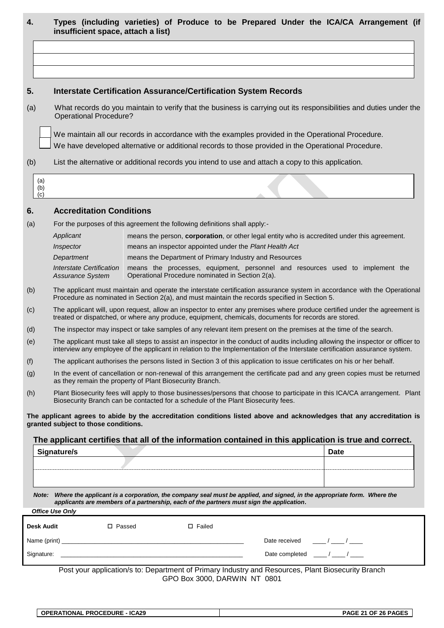|  |                                    |  |  |  |  | Types (including varieties) of Produce to be Prepared Under the ICA/CA Arrangement (if |  |
|--|------------------------------------|--|--|--|--|----------------------------------------------------------------------------------------|--|
|  | insufficient space, attach a list) |  |  |  |  |                                                                                        |  |

#### **5. Interstate Certification Assurance/Certification System Records**

(a) What records do you maintain to verify that the business is carrying out its responsibilities and duties under the Operational Procedure?

We maintain all our records in accordance with the examples provided in the Operational Procedure.

We have developed alternative or additional records to those provided in the Operational Procedure.

(b) List the alternative or additional records you intend to use and attach a copy to this application.

| ء |
|---|
|   |
|   |

#### **6. Accreditation Conditions**

(a) For the purposes of this agreement the following definitions shall apply:-

| Applicant                                    | means the person, <b>corporation</b> , or other legal entity who is accredited under this agreement.                              |  |  |  |  |  |
|----------------------------------------------|-----------------------------------------------------------------------------------------------------------------------------------|--|--|--|--|--|
| Inspector                                    | means an inspector appointed under the Plant Health Act                                                                           |  |  |  |  |  |
| Department                                   | means the Department of Primary Industry and Resources                                                                            |  |  |  |  |  |
| Interstate Certification<br>Assurance System | means the processes, equipment, personnel and resources used to implement the<br>Operational Procedure nominated in Section 2(a). |  |  |  |  |  |

- (b) The applicant must maintain and operate the interstate certification assurance system in accordance with the Operational Procedure as nominated in Section 2(a), and must maintain the records specified in Section 5.
- (c) The applicant will, upon request, allow an inspector to enter any premises where produce certified under the agreement is treated or dispatched, or where any produce, equipment, chemicals, documents for records are stored.
- (d) The inspector may inspect or take samples of any relevant item present on the premises at the time of the search.
- (e) The applicant must take all steps to assist an inspector in the conduct of audits including allowing the inspector or officer to interview any employee of the applicant in relation to the Implementation of the Interstate certification assurance system.
- (f) The applicant authorises the persons listed in Section 3 of this application to issue certificates on his or her behalf.
- (g) In the event of cancellation or non-renewal of this arrangement the certificate pad and any green copies must be returned as they remain the property of Plant Biosecurity Branch.
- (h) Plant Biosecurity fees will apply to those businesses/persons that choose to participate in this ICA/CA arrangement. Plant Biosecurity Branch can be contacted for a schedule of the Plant Biosecurity fees.

**The applicant agrees to abide by the accreditation conditions listed above and acknowledges that any accreditation is granted subject to those conditions.**

#### **The applicant certifies that all of the information contained in this application is true and correct.**

| <sup>1</sup> Signature/s | <b>Date</b> |
|--------------------------|-------------|
|                          |             |
|                          |             |
|                          |             |

*Note: Where the applicant is a corporation, the company seal must be applied, and signed, in the appropriate form. Where the applicants are members of a partnership, each of the partners must sign the application***.**

| <b>UILLE USE UILLY</b> |              |               |                                              |
|------------------------|--------------|---------------|----------------------------------------------|
| Desk Audit             | □ Passed     | $\Box$ Failed |                                              |
|                        | Name (print) |               | Date received<br>$\frac{1}{\sqrt{2}}$        |
| Signature:             |              |               | Date completed $\frac{1}{2}$ / $\frac{1}{2}$ |

Post your application/s to: Department of Primary Industry and Resources, Plant Biosecurity Branch GPO Box 3000, DARWIN NT 0801

*Office Use Only*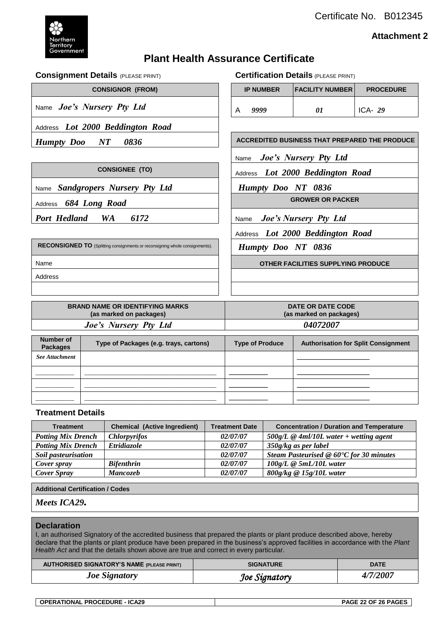Certificate No. B012345



#### **Attachment 2**

# **Plant Health Assurance Certificate**

#### **Consignment Details** (PLEASE PRINT) **Certification Details** (PLEASE PRINT)

Address *Lot 2000 Beddington Road*

Name *Joe's Nursery Pty Ltd* 

 $CONSIGNOR$  (FROM)

| <b>IP NUMBER</b> | FACILITY NUMBER | <b>PROCEDURE</b> |
|------------------|-----------------|------------------|
| 9999             | 01              | ICA- $29$        |

*Humpty Doo NT 0836*  $\vert$  **ACCREDITED BUSINESS THAT PREPARED THE PRODUCE** Name *Joe's Nursery Pty Ltd* **CONSIGNEE (TO) Address** *Lot 2000 Beddington Road* 

Name *Sandgropers Nursery Pty Ltd Humpty Doo NT 0836*

Address **684 Long Road GROWER OR PACKER** 

**Port Hedland WA 6172** | Name *Joe's Nursery Pty Ltd* 

Address *Lot 2000 Beddington Road*

*Humpty Doo NT 0836*

Name **OTHER FACILITIES SUPPLYING PRODUCE**

**RECONSIGNED TO** (Splitting consignments or reconsigning whole consignments).

Address

|                              | <b>BRAND NAME OR IDENTIFYING MARKS</b><br>(as marked on packages) | DATE OR DATE CODE<br>(as marked on packages) |                                            |  |  |  |
|------------------------------|-------------------------------------------------------------------|----------------------------------------------|--------------------------------------------|--|--|--|
|                              | Joe's Nursery Pty Ltd                                             | 04072007                                     |                                            |  |  |  |
|                              |                                                                   |                                              |                                            |  |  |  |
| Number of<br><b>Packages</b> | Type of Packages (e.g. trays, cartons)                            | <b>Type of Produce</b>                       | <b>Authorisation for Split Consignment</b> |  |  |  |
| <b>See Attachment</b>        |                                                                   |                                              |                                            |  |  |  |
|                              |                                                                   |                                              |                                            |  |  |  |
|                              |                                                                   |                                              |                                            |  |  |  |

#### **Treatment Details**

| <b>Treatment</b>          | <b>Chemical (Active Ingredient)</b> | <b>Treatment Date</b> | <b>Concentration / Duration and Temperature</b> |
|---------------------------|-------------------------------------|-----------------------|-------------------------------------------------|
| <b>Potting Mix Drench</b> | <b>Chlorpyrifos</b>                 | 02/07/07              | $500$ g/L @ 4ml/10L water + wetting agent       |
| <b>Potting Mix Drench</b> | Etridiazole                         | 02/07/07              | 350g/kg as per label                            |
| Soil pasteurisation       |                                     | 02/07/07              | Steam Pasteurised $@60°C$ for 30 minutes        |
| Cover spray               | <b>Bifenthrin</b>                   | 02/07/07              | $100g/L \otimes 5mL/10L$ water                  |
| Cover Spray               | <b>Mancozeb</b>                     | 02/07/07              | $800$ g/kg @ 15g/10L water                      |

\_\_\_\_\_\_\_\_\_\_\_\_ \_\_\_\_\_\_\_\_\_\_\_\_\_\_\_\_\_\_\_\_\_\_\_\_\_\_\_\_\_\_\_\_\_\_\_\_\_\_\_\_\_ \_\_\_\_\_\_\_\_\_\_\_\_\_\_\_ \_\_\_\_\_\_\_\_\_\_\_\_\_\_\_\_\_\_\_\_\_\_\_\_\_\_\_\_

**Additional Certification / Codes**

#### *Meets ICA29.*

#### **Declaration**

I, an authorised Signatory of the accredited business that prepared the plants or plant produce described above, hereby declare that the plants or plant produce have been prepared in the business's approved facilities in accordance with the *Plant*  Health Act and that the details shown above are true and correct in every particular.

| <b>AUTHORISED SIGNATORY'S NAME (PLEASE PRINT)</b> | <b>SIGNATURE</b> | <b>DATE</b> |
|---------------------------------------------------|------------------|-------------|
| <b>Joe Signatory</b>                              | Joe Signatory    | 4/7/2007    |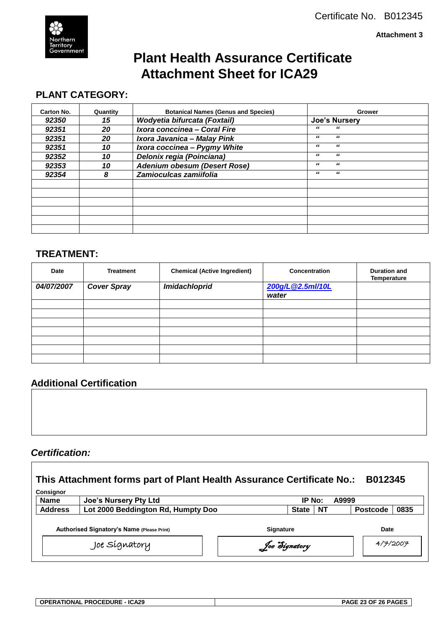**Attachment 3**



# **Plant Health Assurance Certificate Attachment Sheet for ICA29**

# **PLANT CATEGORY:**

| Carton No. | Quantity | <b>Botanical Names (Genus and Species)</b> | Grower               |
|------------|----------|--------------------------------------------|----------------------|
| 92350      | 15       | Wodyetia bifurcata (Foxtail)               | <b>Joe's Nursery</b> |
| 92351      | 20       | Ixora conccinea - Coral Fire               | "<br>"               |
| 92351      | 20       | Ixora Javanica - Malay Pink                | "<br>"               |
| 92351      | 10       | Ixora coccinea - Pygmy White               | "<br>"               |
| 92352      | 10       | Delonix regia (Poinciana)                  | "<br>"               |
| 92353      | 10       | <b>Adenium obesum (Desert Rose)</b>        | "<br>"               |
| 92354      | 8        | Zamioculcas zamiifolia                     | "<br>"               |
|            |          |                                            |                      |
|            |          |                                            |                      |
|            |          |                                            |                      |
|            |          |                                            |                      |
|            |          |                                            |                      |
|            |          |                                            |                      |

# **TREATMENT:**

| Date       | <b>Treatment</b>   | <b>Chemical (Active Ingredient)</b> | <b>Concentration</b>      | <b>Duration and</b><br><b>Temperature</b> |
|------------|--------------------|-------------------------------------|---------------------------|-------------------------------------------|
| 04/07/2007 | <b>Cover Spray</b> | Imidachloprid                       | 200g/L@2.5ml/10L<br>water |                                           |
|            |                    |                                     |                           |                                           |
|            |                    |                                     |                           |                                           |
|            |                    |                                     |                           |                                           |
|            |                    |                                     |                           |                                           |
|            |                    |                                     |                           |                                           |
|            |                    |                                     |                           |                                           |
|            |                    |                                     |                           |                                           |

# **Additional Certification**

# *Certification:*

 $\mathbf{r}$ 

| This Attachment forms part of Plant Health Assurance Certificate No.:<br>B012345<br>Consignor |                                    |                  |              |           |       |                 |      |
|-----------------------------------------------------------------------------------------------|------------------------------------|------------------|--------------|-----------|-------|-----------------|------|
| <b>Name</b>                                                                                   | <b>Joe's Nursery Pty Ltd</b>       |                  | IP No:       |           | A9999 |                 |      |
| <b>Address</b>                                                                                | Lot 2000 Beddington Rd, Humpty Doo |                  | <b>State</b> | <b>NT</b> |       | <b>Postcode</b> | 0835 |
| <b>Authorised Signatory's Name (Please Print)</b>                                             |                                    | <b>Signature</b> |              |           | Date  |                 |      |
|                                                                                               | Joe Sígnatory                      | Joe Signatory    |              |           |       | 4/7/2007        |      |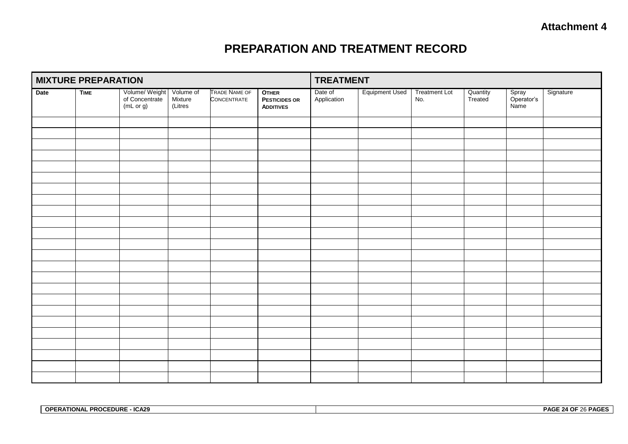# **PREPARATION AND TREATMENT RECORD**

| <b>MIXTURE PREPARATION</b> |             |                                               |                                 | <b>TREATMENT</b>                    |                                                          |                        |                       |                             |                     |                             |           |
|----------------------------|-------------|-----------------------------------------------|---------------------------------|-------------------------------------|----------------------------------------------------------|------------------------|-----------------------|-----------------------------|---------------------|-----------------------------|-----------|
| Date                       | <b>TIME</b> | Volume/ Weight<br>of Concentrate<br>(mL or g) | Volume of<br>Mixture<br>(Litres | <b>TRADE NAME OF</b><br>CONCENTRATE | <b>OTHER</b><br><b>PESTICIDES OR</b><br><b>ADDITIVES</b> | Date of<br>Application | <b>Equipment Used</b> | <b>Treatment Lot</b><br>No. | Quantity<br>Treated | Spray<br>Operator's<br>Name | Signature |
|                            |             |                                               |                                 |                                     |                                                          |                        |                       |                             |                     |                             |           |
|                            |             |                                               |                                 |                                     |                                                          |                        |                       |                             |                     |                             |           |
|                            |             |                                               |                                 |                                     |                                                          |                        |                       |                             |                     |                             |           |
|                            |             |                                               |                                 |                                     |                                                          |                        |                       |                             |                     |                             |           |
|                            |             |                                               |                                 |                                     |                                                          |                        |                       |                             |                     |                             |           |
|                            |             |                                               |                                 |                                     |                                                          |                        |                       |                             |                     |                             |           |
|                            |             |                                               |                                 |                                     |                                                          |                        |                       |                             |                     |                             |           |
|                            |             |                                               |                                 |                                     |                                                          |                        |                       |                             |                     |                             |           |
|                            |             |                                               |                                 |                                     |                                                          |                        |                       |                             |                     |                             |           |
|                            |             |                                               |                                 |                                     |                                                          |                        |                       |                             |                     |                             |           |
|                            |             |                                               |                                 |                                     |                                                          |                        |                       |                             |                     |                             |           |
|                            |             |                                               |                                 |                                     |                                                          |                        |                       |                             |                     |                             |           |
|                            |             |                                               |                                 |                                     |                                                          |                        |                       |                             |                     |                             |           |
|                            |             |                                               |                                 |                                     |                                                          |                        |                       |                             |                     |                             |           |
|                            |             |                                               |                                 |                                     |                                                          |                        |                       |                             |                     |                             |           |
|                            |             |                                               |                                 |                                     |                                                          |                        |                       |                             |                     |                             |           |
|                            |             |                                               |                                 |                                     |                                                          |                        |                       |                             |                     |                             |           |
|                            |             |                                               |                                 |                                     |                                                          |                        |                       |                             |                     |                             |           |
|                            |             |                                               |                                 |                                     |                                                          |                        |                       |                             |                     |                             |           |
|                            |             |                                               |                                 |                                     |                                                          |                        |                       |                             |                     |                             |           |
|                            |             |                                               |                                 |                                     |                                                          |                        |                       |                             |                     |                             |           |
|                            |             |                                               |                                 |                                     |                                                          |                        |                       |                             |                     |                             |           |
|                            |             |                                               |                                 |                                     |                                                          |                        |                       |                             |                     |                             |           |
|                            |             |                                               |                                 |                                     |                                                          |                        |                       |                             |                     |                             |           |

| <b>PROCEDURE</b><br><b>OPERATIONAL</b><br>- ICA29 | PAGE 24 OF 26 PAGES |
|---------------------------------------------------|---------------------|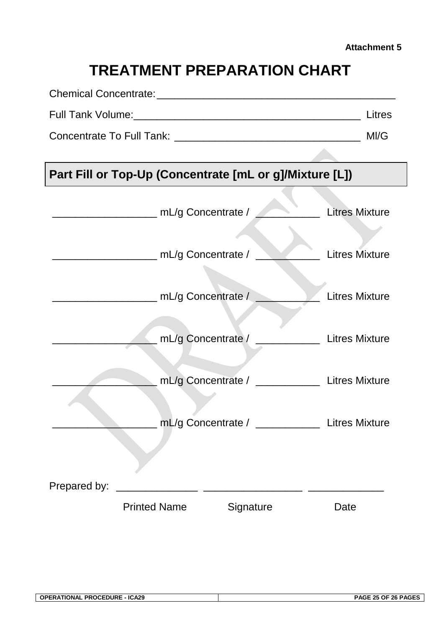# **TREATMENT PREPARATION CHART**

|              |                     |                                                         |                                                                      | MI/G |
|--------------|---------------------|---------------------------------------------------------|----------------------------------------------------------------------|------|
|              |                     |                                                         |                                                                      |      |
|              |                     | Part Fill or Top-Up (Concentrate [mL or g]/Mixture [L]) |                                                                      |      |
|              |                     |                                                         | <b>Litres Mixture</b><br>$\mathbf{S} = \mathbf{S} \times \mathbf{S}$ |      |
|              |                     | mL/g Concentrate $/ \_$                                 | <b>Exercise Elitres Mixture</b>                                      |      |
|              |                     | mL/g Concentrate / The Mixture Litres Mixture           |                                                                      |      |
|              |                     | mL/g Concentrate / _____________ Litres Mixture         |                                                                      |      |
|              |                     | mL/g Concentrate / _____________ Litres Mixture         |                                                                      |      |
|              |                     | mL/g Concentrate / _____________                        | <b>Litres Mixture</b>                                                |      |
| Prepared by: |                     |                                                         |                                                                      |      |
|              | <b>Printed Name</b> | Signature                                               | Date                                                                 |      |